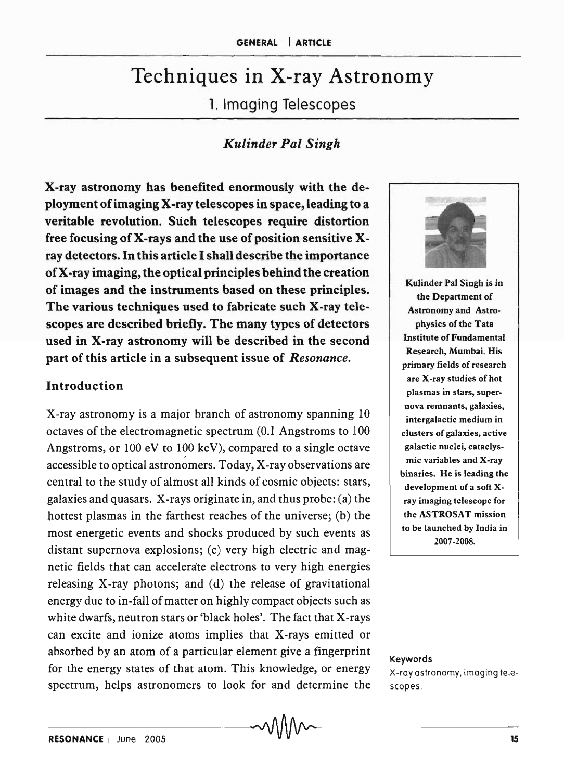# Techniques in X-ray Astronomy

1. Imaging Telescopes

## *Kulinder Pal Singh*

X-ray astronomy has benefited enormously with the deployment of imaging X-ray telescopes in space, leading to a veritable revolution. Such telescopes require distortion free focusing of X-rays and the use of position sensitive Xray detectors. In this article I shall describe the importance of X-ray imaging, the optical principles behind the creation of images and the instruments based on these principles. The various techniques used to fabricate such X-ray telescopes are described briefly. The many types of detectors used in X-ray astronomy will be described in the second part of this article in a subsequent issue of *Resonance.* 

## Introduction

X-ray astronomy is a major branch of astronomy spanning 10 octaves of the electromagnetic spectrum (0.1 Angstroms to 100 Angstroms, or  $100 \text{ eV}$  to  $100 \text{ keV}$ , compared to a single octave accessible to optical astronomers. Today, X-ray observations are central to the study of almost all kinds of cosmic objects: stars, galaxies and quasars. X-rays originate in, and thus probe: (a) the hottest plasmas in the farthest reaches of the universe; (b) the most energetic events and shocks produced by such events as distant supernova explosions; (c) very high electric and magnetic fields that can accelerate electrons to very high energies releasing X-ray photons; and (d) the release of gravitational energy due to in-fall of matter on highly compact objects such as white dwarfs, neutron stars or 'black holes'. The fact that X-rays can excite and ionize atoms implies that X-rays emitted or absorbed by an atom of a particular element give a fingerprint for the energy states of that atom. This knowledge, or energy spectrum, helps astronomers to look for and determine the



Kulinder Pal Singh is in the Department of Astronomy and Astrophysics of the Tata Institute of Fundamental Research, Mumbai. His primary fields of research are X-ray studies of hot plasmas in stars, supernova remnants, galaxies, intergalactic medium in clusters of galaxies, active galactic nuclei, cataclysmic variables and X-ray binaries. He is leading the development of a soft xray imaging telescope for the ASTROSAT mission to be launched by India in 2007-2008.

Keywords

X-ray astronomy, imaging telescopes.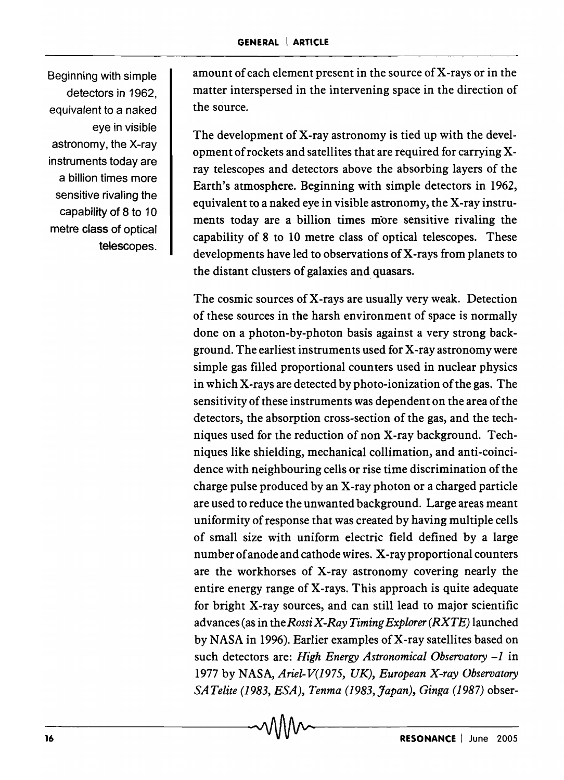Beginning with simple detectors in 1962, equivalent to a naked eye in visible astronomy, the X-ray instruments today are a billion times more sensitive rivaling the capability of 8 to 10 metre class of optical telescopes. amount of each element present in the source of X-rays or in the matter interspersed in the intervening space in the direction of the source.

The development of X-ray astronomy is tied up with the development of rockets and satellites that are required for carrying Xray telescopes and detectors above the absorbing layers of the Earth's atmosphere. Beginning with simple detectors in 1962, equivalent to a naked eye in visible astronomy, the X-ray instruments today are a billion times more sensitive rivaling the capability of 8 to 10 metre class of optical telescopes. These developments have led to observations of X-rays from planets to the distant clusters of galaxies and quasars.

The cosmic sources of X-rays are usually very weak. Detection of these sources in the harsh environment of space is normally done on a photon-by-photon basis against a very strong background. The earliest instruments used for X-ray astronomy were simple gas filled proportional counters used in nuclear physics in which X-rays are detected by photo-ionization of the gas. The sensitivity of these instruments was dependent on the area of the detectors, the absorption cross-section of the gas, and the techniques used for the reduction of non X-ray background. Techniques like shielding, mechanical collimation, and anti-coincidence with neighbouring cells or rise time discrimination of the charge pulse produced by an X-ray photon or a charged particle are used to reduce the unwanted background. Large areas meant uniformity of response that was created by having multiple cells of small size with uniform electric field defined by a large number of anode and cathode wires. X -ray proportional counters are the workhorses of X-ray astronomy covering nearly the entire energy range of X-rays. This approach is quite adequate for bright X-ray sources, and can still lead to major scientific advances (as in the *Rossi X-Ray Timing Explorer (RXTE)* launched by NASA in 1996). Earlier examples of X-ray satellites based on such detectors are: *High Energy Astronomical Observatory* -1 in 1977 by NASA, *A riel-V(1975, UK), European X-ray Observatory SA Telite* (1983, *ESA), Tenma* (1983, *Japan), Ginga* (1987) obser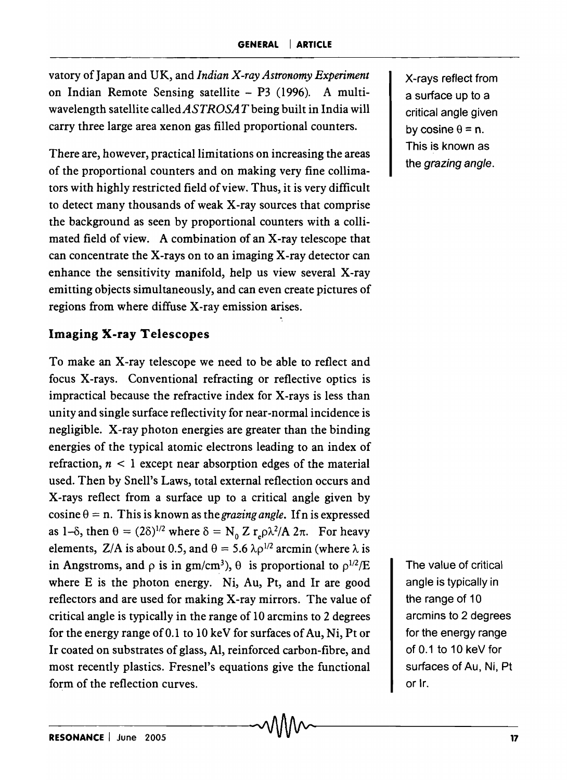vatory of Japan and UK, and *Indian X-ray Astronomy Experiment*  on Indian Remote Sensing satellite - P3 (1996). A multiwavelength satellite calledASTROSAT being built in India will carry three large area xenon gas filled proportional counters.

There are, however, practical limitations on increasing the areas of the proportional counters and on making very fine collimators with highly restricted field of view. Thus, it is very difficult to detect many thousands of weak X-ray sources that comprise the background as seen by proportional counters with a collimated field of view. A combination of an X-ray telescope that can concentrate the X-rays on to an imaging X-ray detector can enhance the sensitivity manifold, help us view several X-ray emitting objects simultaneously, and can even create pictures of regions from where diffuse X-ray emission arises.

#### Imaging X-ray Telescopes

To make an X-ray telescope we need to be able to reflect and focus X-rays. Conventional refracting or reflective optics is impractical because the refractive index for X-rays is less than unity and single surface reflectivity for near-normal incidence is negligible. X-ray photon energies are greater than the binding energies of the typical atomic electrons leading to an index of refraction,  $n < 1$  except near absorption edges of the material used. Then by Snell's Laws, total external reflection occurs and X-rays reflect from a surface up to a critical angie given by  $cosine \theta = n$ . This is known as the *grazing angle*. If n is expressed as 1- $\delta$ , then  $\theta = (2\delta)^{1/2}$  where  $\delta = N_0 Z r_e \rho \lambda^2 / A 2\pi$ . For heavy elements, Z/A is about 0.5, and  $\theta = 5.6 \lambda \rho^{1/2}$  arcmin (where  $\lambda$  is in Angstroms, and  $\rho$  is in gm/cm<sup>3</sup>),  $\theta$  is proportional to  $\rho^{1/2}/E$ where E is the photon energy. Ni, Au, Pt, and Ir are good reflectors and are used for making X-ray mirrors. The value of critical angle is typically in the range of 10 arcmins to 2 degrees for the energy range of 0.1 to 10 keY for surfaces of Au, Ni, Pt or Ir coated on substrates of glass, AI, reinforced carbon-fibre, and most recently plastics. Fresnel's equations give the functional form of the reflection curves.

X-rays reflect from a surface up to a critical angle given by cosine  $\theta$  = n. This is known as the grazing angle.

The value of critical angle is typically in the range of 10 arcmins to 2 degrees for the energy range of 0.1 to 10 keY for surfaces of Au, Ni, Pt or Ir.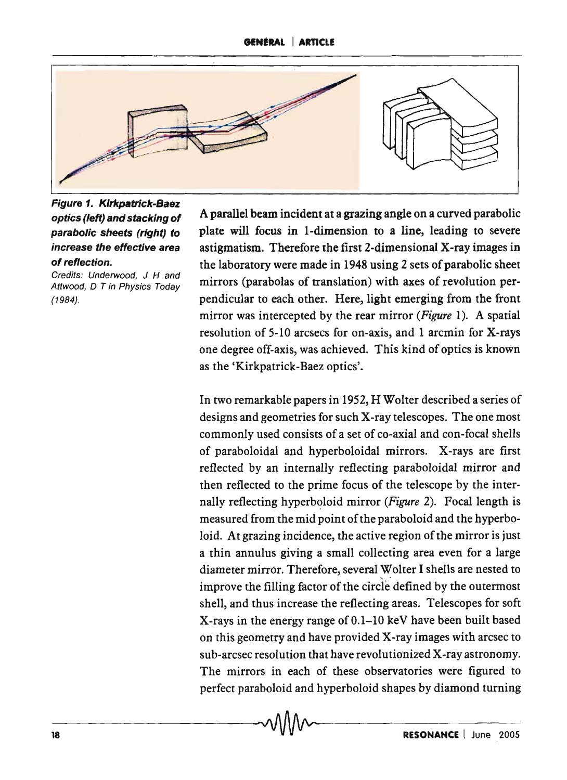

Figure 1. Kirkpatrick-Baez optics (/eft) and stacking of parabolic sheets (right) to increase the effective area of reflection.

Credits: Underwood, J H and Attwood, D T in Physics Today (1984).

A parallel beam incident at a grazing angle on a curved parabolic plate will focus in I-dimension to a line, leading to severe astigmatism. Therefore the first 2-dimensional X-ray images in the laboratory were made in 1948 using 2 sets of parabolic sheet mirrors (parabolas of translation) with axes of revolution perpendicular to each other. Here, light emerging from the front mirror was intercepted by the rear mirror *(Figure* 1). A spatial resolution of 5-10 arcsecs for on-axis, and 1 arcmin for X-rays one degree off-axis, was achieved. This kind of optics is known as the 'Kirkpatrick-Baez optics'.

In two remarkable papers in 1952, H Wolter described a series of designs and geometries for such X-ray telescopes. The one most commonly used consists of a set of co-axial and con-focal shells of paraboloidal and hyperboloidal mirrors. X-rays are first reflected by an internally reflecting paraboloidal mirror and then reflected to the prime focus of the telescope by the internally reflecting hyperboloid mirror (Figure 2). Focal length is measured from the mid point of the paraboloid and the hyperboloid. At grazing incidence, the active region of the mirror is just a thin annulus giving a small collecting area even for a large diameter mirror. Therefore, several Wolter I shells are nested to improve the filling factor of the circle defined by the outermost shell, and thus increase the reflecting areas. Telescopes for soft X-rays in the energy range of 0.1-10 keY have been built based on this geometry and have provided X-ray images with arcsec to sub-arcsec resolution that have revolutionized X-ray astronomy. The mirrors in each of these observatories were figured to perfect paraboloid and hyperboloid shapes by diamond turning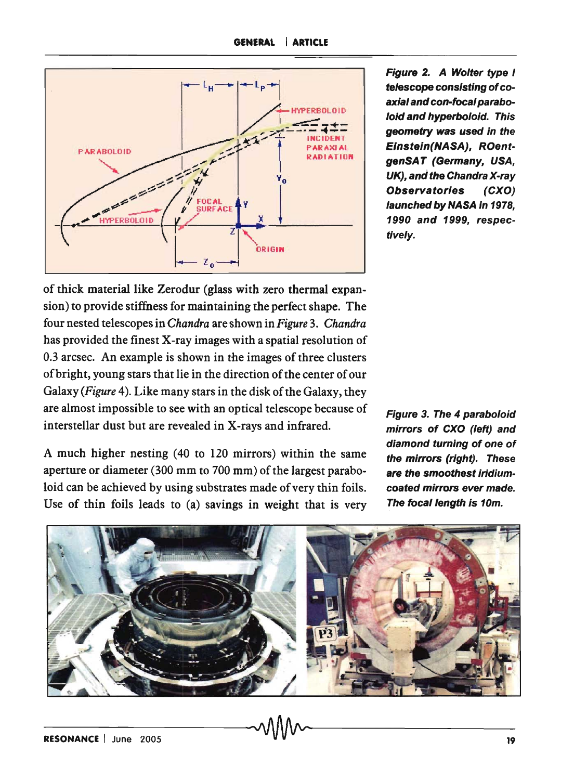

Figure 2. A Wolter type I telescope consisting of coaxial and con-focal paraboloid and hyperboloid. This geometry was used in the Einstein(NASA), ROentgenSAT (Germany, USA, UK), and the Chandra X-ray Observatories (CXO) launched by NASA in 1978, 1990 and 1999, respectively.

of thick material like Zerodur (glass with zero thermal expansion) to provide stiffness for maintaining the perfect shape. The four nested telescopes in *Chandra* are shown in *Figure* 3. *Chandra*  has provided the finest X-ray images with a spatial resolution of 0.3 arcsec. An example is shown in the images of three clusters of bright, young stars that lie in the direction of the center of our Galaxy *(Figure* 4). Like many stars in the disk of the Galaxy, they are almost impossible to see with an optical telescope because of interstellar dust but are revealed in X-rays and infrared.

A much higher nesting (40 to 120 mirrors) within the same aperture or diameter (300 mm to 700 mm) of the largest paraboloid can be achieved by using substrates made of very thin foils. Use of thin foils leads to (a) savings in weight that is very Figure 3. The 4 paraboloid mirrors of CXO (left) and diamond turning of one of the mirrors (right). These are the smoothest iridiumcoated mirrors ever made. The focal length is 10m.

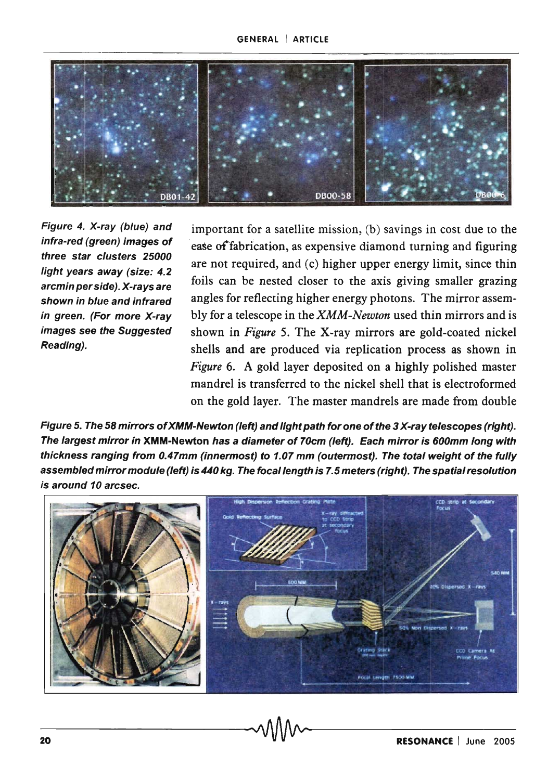

Figure 4. X-ray (blue) and infra-red (green) images of three star clusters 25000 light years away (size: 4.2 arcmin per side). X-rays are shown in blue and infrared in green. (For more X-ray images see the Suggested Reading).

important for a satellite mission, (b) savings in cost due to the ease of'fabrication, as expensive diamond turning and figuring are not required, and (c) higher upper energy limit, since thin foils can be nested closer to the axis giving smaller grazing angles for reflecting higher energy photons. The mirror assembly for a telescope in the *XMM-Newton* used thin mirrors and is shown in *Figure* 5. The X-ray mirrors are gold-coated nickel shells and are produced via replication process as shown in *Figure* 6. A gold layer deposited on a highly polished master mandrel is transferred to the nickel shell that is electroformed on the gold layer. The master mandrels are made from double

Figure 5. The 58 mirrors of XMM-Newton (left) and light path for one of the 3 X-ray telescopes (right). The largest mirror in XMM-Newton has a diameter of 70cm (left). Each mirror is 600mm long with thickness ranging from 0.47mm (innermost) to 1.07 mm (outermost). The total weight of the fully assembled mirror module (left) is 440 kg. The focal length is 7.5 meters (right). The spatial resolution is around 10 arcsec.

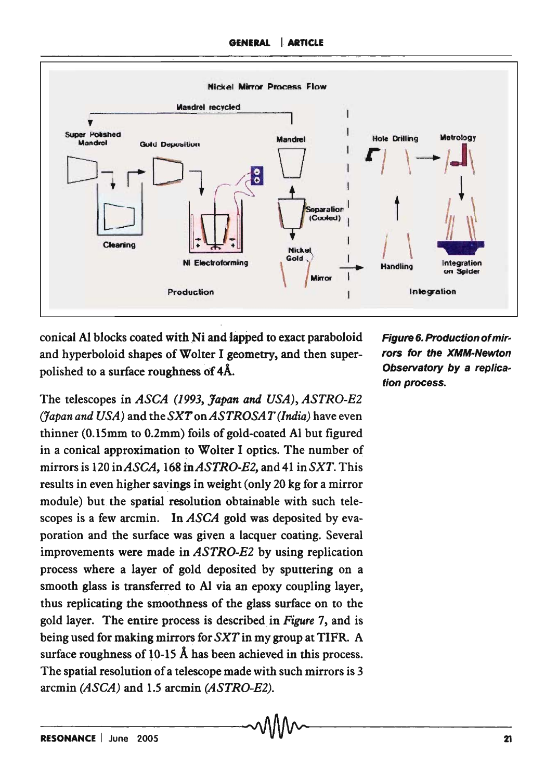

conical Al blocks coated with Ni and lapped to exact paraboloid and hyperboloid shapes of Wolter I geometry, and then superpolished to a surface roughness of 4A.

The telescopes in *ASCA* (1993, *Japan and USA), ASTRO-E2 (Japan and USA)* and theSXT *onASTROSAT (India)* have even thinner (O.ISmm to O.2mm) foils of gold-coated Al but figured in a conical approximation to Wolter I optics. The number of mirrors is 120 *inASCA,* 168 *inASTRO-E2,* and 41 in *SXT.* This results in even higher savings in weight (only 20 kg for a mirror module) but the spatial resolution obtainable with such telescopes is a few arcmin. In *ASCA* gold was deposited by evaporation and the surface was given a lacquer coating. Several improvements were made in *ASTRO-E2* by using replication process where a layer of gold deposited by sputtering on a smooth glass is transferred to AI via an epoxy coupling layer, thus replicating the smoothness of the glass surface on to the gold layer. The entire process is described in *Figure* 7, and is being used for making mirrors for *SXT* in my group at TIFR. A surface roughness of  $10-15$  Å has been achieved in this process. The spatial resolution of a telescope made with such mirrors is 3 arcmin *(ASCA)* and 1.5 arcmin *(ASTRO-E2).* 

Figure 6. Production ofmirrors for the XMM-Newton Observatory by a replication process.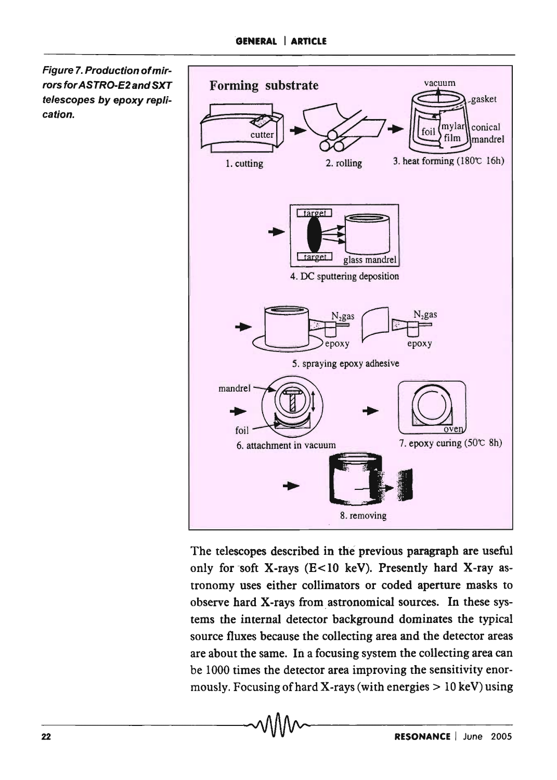Figure 7. Production of mirrors for ASTRO-E2 and SXT telescopes by epoxy replication.



The telescopes described in the previous paragraph are useful only for soft X-rays ( $E$ <10 keV). Presently hard X-ray astronomy uses either collimators or coded aperture masks to observe hard X-rays from astronomical sources. In these systems the internal detector background dominates the typical source fluxes because the collecting area and the detector areas are about the same. In a focusing system the collecting area can be 1000 times the detector area improving the sensitivity enormously. Focusing of hard X-rays (with energies  $> 10$  keV) using